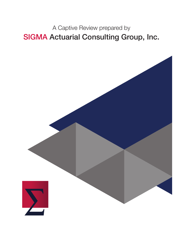A Captive Review prepared by SIGMA Actuarial Consulting Group, Inc.

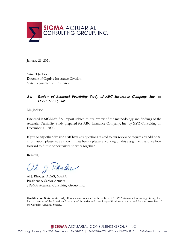

January 21, 2021

Samuel Jackson Director of Captive Insurance Division State Department of Insurance

#### Re: Review of Actuarial Feasibility Study of ABC Insurance Company, Inc. on December 31, 2020

Mr. Jackson:

Enclosed is SIGMA's final report related to our review of the methodology and findings of the Actuarial Feasibility Study prepared for ABC Insurance Company, Inc. by XYZ Consulting on December 31, 2020.

If you or any other division staff have any questions related to our review or require any additional information, please let us know. It has been a pleasure working on this assignment, and we look forward to future opportunities to work together.

Regards,

al g. Rhodes

Al J. Rhodes, ACAS, MAAA President & Senior Actuary SIGMA Actuarial Consulting Group, Inc.

**Qualification Statement:** I, Al J. Rhodes, am associated with the firm of SIGMA Actuarial Consulting Group, Inc. I am a member of the American Academy of Actuaries and meet its qualification standards, and I am an Associate of the Casualty Actuarial Society.

SIGMA ACTUARIAL CONSULTING GROUP, INC.

5301 Virginia Way, Ste 230, Brentwood, TN 37027 | 866-228-ACTUARY or 615-376-5110 | SIGMAactuary.com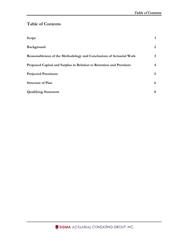# **Table of Contents**

| Scope                                                               | 1  |
|---------------------------------------------------------------------|----|
| Background                                                          | 2  |
| Reasonableness of the Methodology and Conclusions of Actuarial Work | 3  |
| Proposed Capital and Surplus in Relation to Retention and Premium   | 4  |
| <b>Projected Premiums</b>                                           | 5. |
| <b>Structure of Plan</b>                                            | 6  |
| <b>Qualifying Statement</b>                                         | 8  |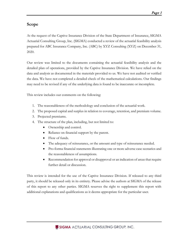# <span id="page-3-0"></span>**Scope**

At the request of the Captive Insurance Division of the State Department of Insurance, SIGMA Actuarial Consulting Group, Inc. (SIGMA) conducted a review of the actuarial feasibility analysis prepared for ABC Insurance Company, Inc. (ABC) by XYZ Consulting (XYZ) on December 31, 2020.

Our review was limited to the documents containing the actuarial feasibility analysis and the detailed plan of operations, provided by the Captive Insurance Division. We have relied on the data and analysis as documented in the materials provided to us. We have not audited or verified the data. We have not completed a detailed check of the mathematical calculations. Our findings may need to be revised if any of the underlying data is found to be inaccurate or incomplete.

This review includes our comments on the following:

- 1. The reasonableness of the methodology and conclusion of the actuarial work.
- 2. The proposed capital and surplus in relation to coverage, retention, and premium volume.
- 3. Projected premiums.
- 4. The structure of the plan, including, but not limited to:
	- Ownership and control.
	- Reliance on financial support by the parent.
	- Flow of funds.
	- The adequacy of reinsurance, or the amount and type of reinsurance needed.
	- Pro-forma financial statements illustrating one or more adverse case scenarios and the reasonableness of assumptions.
	- Recommendation for approval or disapproval or an indication of areas that require further detail or discussion.

This review is intended for the use of the Captive Insurance Division. If released to any third party, it should be released only in its entirety. Please advise the authors at SIGMA of the release of this report to any other parties. SIGMA reserves the right to supplement this report with additional explanations and qualifications as it deems appropriate for the particular user.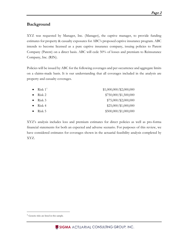## <span id="page-4-0"></span>**Background**

XYZ was requested by Manager, Inc. (Manager), the captive manager, to provide funding estimates for property & casualty exposures for ABC's proposed captive insurance program. ABC intends to become licensed as a pure captive insurance company, issuing policies to Parent Company (Parent) on a direct basis. ABC will cede 50% of losses and premium to Reinsurance Company, Inc. (RIN).

Policies will be issued by ABC for the following coverages and per occurrence and aggregate limits on a claims-made basis. It is our understanding that all coverages included in the analysis are property and casualty coverages.

| • Risk $1^1$     | $$1,000,000$ /\$2,000,000 |
|------------------|---------------------------|
| $\bullet$ Risk 2 | $$750,000$ /\$1,500,000   |
| • Risk 3         | $$75,000$ /\$2,000,000    |
| • Risk 4         | $$25,000/\$1,000,000$     |
| • Risk 5         | $$500,000$ /\$1,000,000   |
|                  |                           |

XYZ's analysis includes loss and premium estimates for direct policies as well as pro-forma financial statements for both an expected and adverse scenario. For purposes of this review, we have considered estimates for coverages shown in the actuarial feasibility analysis completed by XYZ.

<span id="page-4-1"></span><sup>1</sup> Generic risks are listed in this sample.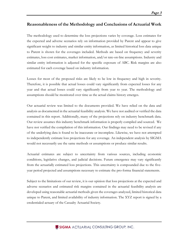## <span id="page-5-0"></span>**Reasonableness of the Methodology and Conclusions of Actuarial Work**

The methodology used to determine the loss projections varies by coverage. Loss estimates for the expected and adverse scenarios rely on information provided by Parent and appear to give significant weight to industry and similar entity information, as limited historical loss data unique to Parent is shown for the coverages included. Methods are based on frequency and severity estimates, loss cost estimates, market information, and/or rate-on-line assumptions. Industry and similar entity information is adjusted for the specific exposure of ABC. Risk margins are also estimated for each coverage based on industry information.

Losses for most of the proposed risks are likely to be low in frequency and high in severity. Therefore, it is possible that actual losses could vary significantly from expected losses for any year and that actual losses could vary significantly from year to year. The methodology and assumptions should be monitored over time as the actual claims history emerges.

Our actuarial review was limited to the documents provided. We have relied on the data and analysis as documented in the actuarial feasibility analysis. We have not audited or verified the data contained in this report. Additionally, many of the projections rely on industry benchmark data. Our review assumes this industry benchmark information is properly compiled and sourced. We have not verified the compilation of this information. Our findings may need to be revised if any of the underlying data is found to be inaccurate or incomplete. Likewise, we have not attempted to independently estimate loss projections for any coverage. An independent analysis by SIGMA would not necessarily use the same methods or assumptions or produce similar results.

Actuarial estimates are subject to uncertainty from various sources, including economic conditions, legislative changes, and judicial decisions. Future emergence may vary significantly from the actuarially estimated loss projections. This uncertainty is compounded due to the fiveyear period projected and assumptions necessary to estimate the pro-forma financial statements.

Subject to the limitations of our review, it is our opinion that loss projections at the expected and adverse scenarios and estimated risk margins contained in the actuarial feasibility analysis are developed using reasonable actuarial methods given the coverages analyzed, limited historical data unique to Parent, and limited availability of industry information. The XYZ report is signed by a credentialed actuary of the Casualty Actuarial Society.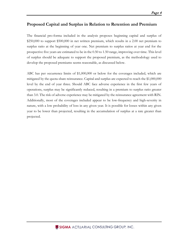## <span id="page-6-0"></span>**Proposed Capital and Surplus in Relation to Retention and Premium**

The financial pro-forma included in the analysis proposes beginning capital and surplus of \$250,000 to support \$500,000 in net written premium, which results in a 2.00 net premium to surplus ratio at the beginning of year one. Net premium to surplus ratios at year end for the prospective five years are estimated to be in the 0.50 to 1.50 range, improving over time. This level of surplus should be adequate to support the proposed premium, as the methodology used to develop the proposed premiums seems reasonable, as discussed below.

ABC has per occurrence limits of \$1,000,000 or below for the coverages included, which are mitigated by the quota-share reinsurance. Capital and surplus are expected to reach the \$1,000,000 level by the end of year three. Should ABC face adverse experience in the first few years of operations, surplus may be significantly reduced, resulting in a premium to surplus ratio greater than 3.0. The risk of adverse experience may be mitigated by the reinsurance agreement with RIN. Additionally, most of the coverages included appear to be low-frequency and high-severity in nature, with a low probability of loss in any given year. It is possible for losses within any given year to be lower than projected, resulting in the accumulation of surplus at a rate greater than projected.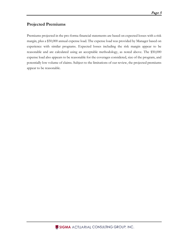## <span id="page-7-0"></span>**Projected Premiums**

Premiums projected in the pro-forma financial statements are based on expected losses with a risk margin, plus a \$50,000 annual expense load. The expense load was provided by Manager based on experience with similar programs. Expected losses including the risk margin appear to be reasonable and are calculated using an acceptable methodology, as noted above. The \$50,000 expense load also appears to be reasonable for the coverages considered, size of the program, and potentially low volume of claims. Subject to the limitations of our review, the projected premiums appear to be reasonable.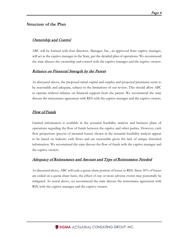## <span id="page-8-0"></span>**Structure of the Plan**

#### **Ownership and Control**

ABC will be formed with four directors. Manager, Inc., an approved State captive manager, will act as the captive manager in the State, per the detailed plan of operations. We recommend the state discuss the ownership and control with the captive manager and the captive owners.

#### Reliance on Financial Strength by the Parent

As discussed above, the proposed initial capital and surplus and projected premiums seem to be reasonable and adequate, subject to the limitations of our review. This should allow ABC to operate without reliance on financial support from the parent. We recommend the state discuss the reinsurance agreement with RIN with the captive manager and the captive owners.

#### Flow of Funds

Limited information is available in the actuarial feasibility analysis and business plans of operations regarding the flow of funds between the captive and other parties. However, cash flow projections (payout of incurred losses) shown in the actuarial feasibility analysis appear to be based on industry cash flows and are reasonable given the lack of unique historical information. We recommend the state discuss the flow of funds with the captive manager and the captive owners.

## Adequacy of Reinsurance and Amount and Type of Reinsurance Needed

As discussed above, ABC will cede a quota-share portion of losses to RIN. Since 50% of losses are ceded on a quota-share basis, the effect of one or more adverse events may potentially be mitigated. As noted above, we recommend the state discuss the reinsurance agreement with RIN with the captive manager and the captive owners.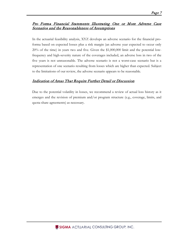#### Pro Forma Financial Statements Illustrating One or More Adverse Case Scenarios and the Reasonableness of Assumptions

In the actuarial feasibility analysis, XYZ develops an adverse scenario for the financial proforma based on expected losses plus a risk margin (an adverse year expected to occur only 20% of the time) in years two and five. Given the \$1,000,000 limit and the potential lowfrequency and high-severity nature of the coverages included, an adverse loss in two of the five years is not unreasonable. The adverse scenario is not a worst-case scenario but is a representation of one scenario resulting from losses which are higher than expected. Subject to the limitations of our review, the adverse scenario appears to be reasonable.

## Indication of Areas That Require Further Detail or Discussion

Due to the potential volatility in losses, we recommend a review of actual loss history as it emerges and the revision of premium and/or program structure (e.g., coverage, limits, and quota-share agreements) as necessary.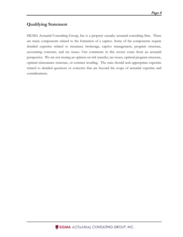# <span id="page-10-0"></span>**Qualifying Statement**

SIGMA Actuarial Consulting Group, Inc is a property casualty actuarial consulting firm. There are many components related to the formation of a captive. Some of the components require detailed expertise related to insurance brokerage, captive management, program structure, accounting concerns, and tax issues. Our comments in this review come from an actuarial perspective. We are not issuing an opinion on risk transfer, tax issues, optimal program structure, optimal reinsurance structure, or contract wording. The state should seek appropriate expertise related to detailed questions or concerns that are beyond the scope of actuarial expertise and considerations.